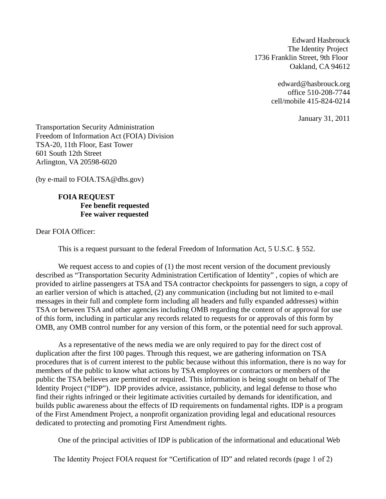Edward Hasbrouck The Identity Project 1736 Franklin Street, 9th Floor Oakland, CA 94612

> edward@hasbrouck.org office 510-208-7744 cell/mobile 415-824-0214

> > January 31, 2011

Transportation Security Administration Freedom of Information Act (FOIA) Division TSA-20, 11th Floor, East Tower 601 South 12th Street Arlington, VA 20598-6020

(by e-mail to FOIA.TSA@dhs.gov)

**FOIA REQUEST Fee benefit requested Fee waiver requested**

Dear FOIA Officer:

This is a request pursuant to the federal Freedom of Information Act, 5 U.S.C. § 552.

We request access to and copies of (1) the most recent version of the document previously described as "Transportation Security Administration Certification of Identity" , copies of which are provided to airline passengers at TSA and TSA contractor checkpoints for passengers to sign, a copy of an earlier version of which is attached, (2) any communication (including but not limited to e-mail messages in their full and complete form including all headers and fully expanded addresses) within TSA or between TSA and other agencies including OMB regarding the content of or approval for use of this form, including in particular any records related to requests for or approvals of this form by OMB, any OMB control number for any version of this form, or the potential need for such approval.

As a representative of the news media we are only required to pay for the direct cost of duplication after the first 100 pages. Through this request, we are gathering information on TSA procedures that is of current interest to the public because without this information, there is no way for members of the public to know what actions by TSA employees or contractors or members of the public the TSA believes are permitted or required. This information is being sought on behalf of The Identity Project ("IDP"). IDP provides advice, assistance, publicity, and legal defense to those who find their rights infringed or their legitimate activities curtailed by demands for identification, and builds public awareness about the effects of ID requirements on fundamental rights. IDP is a program of the First Amendment Project, a nonprofit organization providing legal and educational resources dedicated to protecting and promoting First Amendment rights.

One of the principal activities of IDP is publication of the informational and educational Web

The Identity Project FOIA request for "Certification of ID" and related records (page 1 of 2)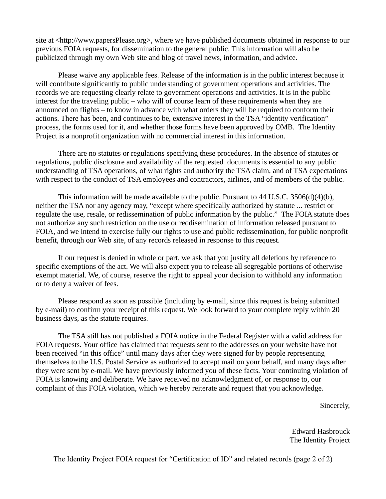site at <http://www.papersPlease.org>, where we have published documents obtained in response to our previous FOIA requests, for dissemination to the general public. This information will also be publicized through my own Web site and blog of travel news, information, and advice.

Please waive any applicable fees. Release of the information is in the public interest because it will contribute significantly to public understanding of government operations and activities. The records we are requesting clearly relate to government operations and activities. It is in the public interest for the traveling public – who will of course learn of these requirements when they are announced on flights – to know in advance with what orders they will be required to conform their actions. There has been, and continues to be, extensive interest in the TSA "identity verification" process, the forms used for it, and whether those forms have been approved by OMB. The Identity Project is a nonprofit organization with no commercial interest in this information.

There are no statutes or regulations specifying these procedures. In the absence of statutes or regulations, public disclosure and availability of the requested documents is essential to any public understanding of TSA operations, of what rights and authority the TSA claim, and of TSA expectations with respect to the conduct of TSA employees and contractors, airlines, and of members of the public.

This information will be made available to the public. Pursuant to 44 U.S.C. 3506(d)(4)(b), neither the TSA nor any agency may, "except where specifically authorized by statute ... restrict or regulate the use, resale, or redissemination of public information by the public." The FOIA statute does not authorize any such restriction on the use or reddisemination of information released pursuant to FOIA, and we intend to exercise fully our rights to use and public redissemination, for public nonprofit benefit, through our Web site, of any records released in response to this request.

If our request is denied in whole or part, we ask that you justify all deletions by reference to specific exemptions of the act. We will also expect you to release all segregable portions of otherwise exempt material. We, of course, reserve the right to appeal your decision to withhold any information or to deny a waiver of fees.

Please respond as soon as possible (including by e-mail, since this request is being submitted by e-mail) to confirm your receipt of this request. We look forward to your complete reply within 20 business days, as the statute requires.

The TSA still has not published a FOIA notice in the Federal Register with a valid address for FOIA requests. Your office has claimed that requests sent to the addresses on your website have not been received "in this office" until many days after they were signed for by people representing themselves to the U.S. Postal Service as authorized to accept mail on your behalf, and many days after they were sent by e-mail. We have previously informed you of these facts. Your continuing violation of FOIA is knowing and deliberate. We have received no acknowledgment of, or response to, our complaint of this FOIA violation, which we hereby reiterate and request that you acknowledge.

Sincerely,

Edward Hasbrouck The Identity Project